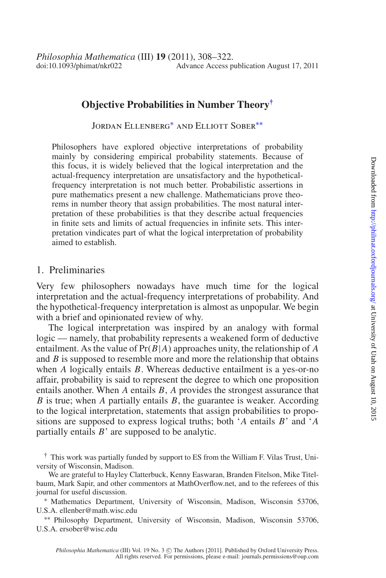# **Objective Probabilities in Number Theory†**

Jordan Ellenberg<sup>∗</sup> and Elliott Sober∗∗

Philosophers have explored objective interpretations of probability mainly by considering empirical probability statements. Because of this focus, it is widely believed that the logical interpretation and the actual-frequency interpretation are unsatisfactory and the hypotheticalfrequency interpretation is not much better. Probabilistic assertions in pure mathematics present a new challenge. Mathematicians prove theorems in number theory that assign probabilities. The most natural interpretation of these probabilities is that they describe actual frequencies in finite sets and limits of actual frequencies in infinite sets. This interpretation vindicates part of what the logical interpretation of probability aimed to establish.

## 1. Preliminaries

Very few philosophers nowadays have much time for the logical interpretation and the actual-frequency interpretations of probability. And the hypothetical-frequency interpretation is almost as unpopular. We begin with a brief and opinionated review of why.

The logical interpretation was inspired by an analogy with formal logic — namely, that probability represents a weakened form of deductive entailment. As the value of Pr(*B*|*A*) approaches unity, the relationship of *A* and *B* is supposed to resemble more and more the relationship that obtains when *A* logically entails *B*. Whereas deductive entailment is a yes-or-no affair, probability is said to represent the degree to which one proposition entails another. When *A* entails *B*, *A* provides the strongest assurance that *B* is true; when *A* partially entails *B*, the guarantee is weaker. According to the logical interpretation, statements that assign probabilities to propositions are supposed to express logical truths; both '*A* entails *B*' and '*A* partially entails *B*' are supposed to be analytic.

† This work was partially funded by support to ES from the William F. Vilas Trust, University of Wisconsin, Madison.

We are grateful to Hayley Clatterbuck, Kenny Easwaran, Branden Fitelson, Mike Titelbaum, Mark Sapir, and other commentors at MathOverflow.net, and to the referees of this journal for useful discussion.

<sup>∗</sup> Mathematics Department, University of Wisconsin, Madison, Wisconsin 53706, U.S.A. ellenber@math.wisc.edu

∗∗ Philosophy Department, University of Wisconsin, Madison, Wisconsin 53706, U.S.A. ersober@wisc.edu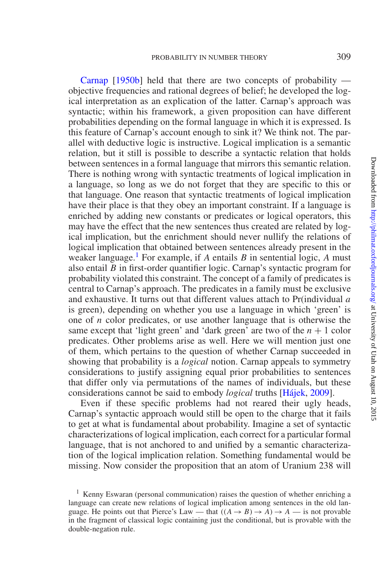[Carnap](#page-14-0) [\[1950b](#page-14-0)] held that there are two concepts of probability objective frequencies and rational degrees of belief; he developed the logical interpretation as an explication of the latter. Carnap's approach was syntactic; within his framework, a given proposition can have different probabilities depending on the formal language in which it is expressed. Is this feature of Carnap's account enough to sink it? We think not. The parallel with deductive logic is instructive. Logical implication is a semantic relation, but it still is possible to describe a syntactic relation that holds between sentences in a formal language that mirrors this semantic relation. There is nothing wrong with syntactic treatments of logical implication in a language, so long as we do not forget that they are specific to this or that language. One reason that syntactic treatments of logical implication have their place is that they obey an important constraint. If a language is enriched by adding new constants or predicates or logical operators, this may have the effect that the new sentences thus created are related by logical implication, but the enrichment should never nullify the relations of logical implication that obtained between sentences already present in the weaker language[.1](#page-1-0) For example, if *A* entails *B* in sentential logic, *A* must also entail *B* in first-order quantifier logic. Carnap's syntactic program for probability violated this constraint. The concept of a family of predicates is central to Carnap's approach. The predicates in a family must be exclusive and exhaustive. It turns out that different values attach to Pr(individual *a* is green), depending on whether you use a language in which 'green' is one of *n* color predicates, or use another language that is otherwise the same except that 'light green' and 'dark green' are two of the  $n + 1$  color predicates. Other problems arise as well. Here we will mention just one of them, which pertains to the question of whether Carnap succeeded in showing that probability is a *logical* notion. Carnap appeals to symmetry considerations to justify assigning equal prior probabilities to sentences that differ only via permutations of the names of individuals, but these considerations cannot be said to embody *logical* truths [\[Hajek](#page-14-1), [2009\]](#page-14-1).

Even if these specific problems had not reared their ugly heads, Carnap's syntactic approach would still be open to the charge that it fails to get at what is fundamental about probability. Imagine a set of syntactic characterizations of logical implication, each correct for a particular formal language, that is not anchored to and unified by a semantic characterization of the logical implication relation. Something fundamental would be missing. Now consider the proposition that an atom of Uranium 238 will

<span id="page-1-0"></span><sup>1</sup> Kenny Eswaran (personal communication) raises the question of whether enriching a language can create new relations of logical implication among sentences in the old language. He points out that Pierce's Law — that  $((A \rightarrow B) \rightarrow A) \rightarrow A$  — is not provable in the fragment of classical logic containing just the conditional, but is provable with the double-negation rule.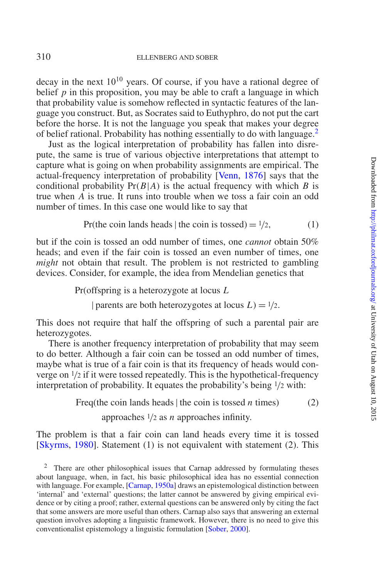decay in the next 10<sup>10</sup> years. Of course, if you have a rational degree of belief *p* in this proposition, you may be able to craft a language in which that probability value is somehow reflected in syntactic features of the language you construct. But, as Socrates said to Euthyphro, do not put the cart before the horse. It is not the language you speak that makes your degree of belief rational. Probability has nothing essentially to do with language.<sup>[2](#page-2-0)</sup>

Just as the logical interpretation of probability has fallen into disrepute, the same is true of various objective interpretations that attempt to capture what is going on when probability assignments are empirical. The actual-frequency interpretation of probability [\[Venn](#page-14-2), [1876\]](#page-14-2) says that the conditional probability  $Pr(B|A)$  is the actual frequency with which *B* is true when *A* is true. It runs into trouble when we toss a fair coin an odd number of times. In this case one would like to say that

Pr(the coin lands heads | the coin is tossed) =  $1/2$ , (1)

but if the coin is tossed an odd number of times, one *cannot* obtain 50% heads; and even if the fair coin is tossed an even number of times, one *might* not obtain that result. The problem is not restricted to gambling devices. Consider, for example, the idea from Mendelian genetics that

Pr(offspring is a heterozygote at locus *L*

| parents are both heterozygotes at locus  $L$ ) =  $\frac{1}{2}$ .

This does not require that half the offspring of such a parental pair are heterozygotes.

There is another frequency interpretation of probability that may seem to do better. Although a fair coin can be tossed an odd number of times, maybe what is true of a fair coin is that its frequency of heads would converge on <sup>1</sup>/2 if it were tossed repeatedly. This is the hypothetical-frequency interpretation of probability. It equates the probability's being <sup>1</sup>/2 with:

Freq(the coin lands heads | the coin is tossed  $n$  times) (2)

approaches <sup>1</sup>/2 as *<sup>n</sup>* approaches infinity.

The problem is that a fair coin can land heads every time it is tossed [\[Skyrms,](#page-14-3) [1980\]](#page-14-3). Statement (1) is not equivalent with statement (2). This

<span id="page-2-0"></span><sup>2</sup> There are other philosophical issues that Carnap addressed by formulating theses about language, when, in fact, his basic philosophical idea has no essential connection with language. For example, [\[Carnap](#page-13-0), [1950a](#page-13-0)] draws an epistemological distinction between 'internal' and 'external' questions; the latter cannot be answered by giving empirical evidence or by citing a proof; rather, external questions can be answered only by citing the fact that some answers are more useful than others. Carnap also says that answering an external question involves adopting a linguistic framework. However, there is no need to give this conventionalist epistemology a linguistic formulation [\[Sober,](#page-14-4) [2000\]](#page-14-4).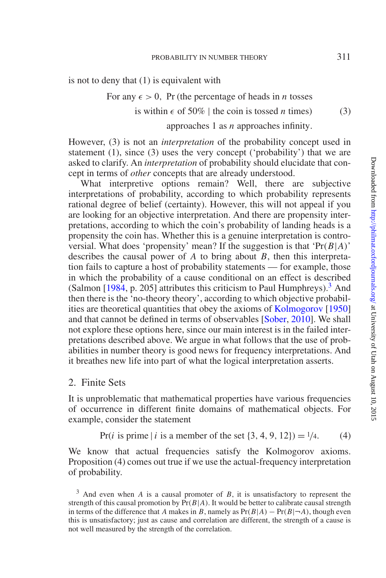is not to deny that (1) is equivalent with

For any  $\epsilon > 0$ , Pr (the percentage of heads in *n* tosses

is within  $\epsilon$  of 50% | the coin is tossed *n* times) (3)

approaches 1 as *n* approaches infinity.

However, (3) is not an *interpretation* of the probability concept used in statement (1), since (3) uses the very concept ('probability') that we are asked to clarify. An *interpretation* of probability should elucidate that concept in terms of *other* concepts that are already understood.

What interpretive options remain? Well, there are subjective interpretations of probability, according to which probability represents rational degree of belief (certainty). However, this will not appeal if you are looking for an objective interpretation. And there are propensity interpretations, according to which the coin's probability of landing heads is a propensity the coin has. Whether this is a genuine interpretation is controversial. What does 'propensity' mean? If the suggestion is that 'Pr(*B*|*A*)' describes the causal power of *A* to bring about *B*, then this interpretation fails to capture a host of probability statements — for example, those in which the probability of a cause conditional on an effect is described (Salmon [\[1984,](#page-14-5) p. 205] attributes this criticism to Paul Humphreys).<sup>3</sup> And then there is the 'no-theory theory', according to which objective probabilities are theoretical quantities that obey the axioms of [Kolmogorov](#page-14-6) [\[1950\]](#page-14-6) and that cannot be defined in terms of observables [\[Sober,](#page-14-7) [2010\]](#page-14-7). We shall not explore these options here, since our main interest is in the failed interpretations described above. We argue in what follows that the use of probabilities in number theory is good news for frequency interpretations. And it breathes new life into part of what the logical interpretation asserts.

#### 2. Finite Sets

It is unproblematic that mathematical properties have various frequencies of occurrence in different finite domains of mathematical objects. For example, consider the statement

Pr(*i* is prime | *i* is a member of the set  $\{3, 4, 9, 12\}$ ) =  $\frac{1}{4}$ . (4)

We know that actual frequencies satisfy the Kolmogorov axioms. Proposition (4) comes out true if we use the actual-frequency interpretation of probability.

<span id="page-3-0"></span><sup>3</sup> And even when *A* is a causal promoter of *B*, it is unsatisfactory to represent the strength of this causal promotion by  $Pr(B|A)$ . It would be better to calibrate causal strength in terms of the difference that *A* makes in *B*, namely as  $Pr(B|A) - Pr(B|\neg A)$ , though even this is unsatisfactory; just as cause and correlation are different, the strength of a cause is not well measured by the strength of the correlation.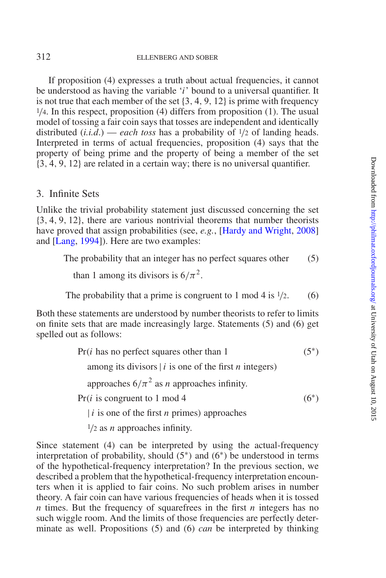If proposition (4) expresses a truth about actual frequencies, it cannot be understood as having the variable '*i*' bound to a universal quantifier. It is not true that each member of the set {3, 4, 9, 12} is prime with frequency <sup>1</sup>/4. In this respect, proposition (4) differs from proposition (1). The usual model of tossing a fair coin says that tosses are independent and identically distributed  $(i.i.d.)$  — *each toss* has a probability of  $\frac{1}{2}$  of landing heads. Interpreted in terms of actual frequencies, proposition (4) says that the property of being prime and the property of being a member of the set {3, 4, 9, 12} are related in a certain way; there is no universal quantifier.

## 3. Infinite Sets

Unlike the trivial probability statement just discussed concerning the set {3, 4, 9, 12}, there are various nontrivial theorems that number theorists have proved that assign probabilities (see, *e.g.*, [\[Hardy and Wright](#page-14-8), [2008\]](#page-14-8) and [\[Lang](#page-14-9), [1994\]](#page-14-9)). Here are two examples:

The probability that an integer has no perfect squares other (5)

than 1 among its divisors is  $6/\pi^2$ .

The probability that a prime is congruent to 1 mod 4 is  $1/2$ . (6)

Both these statements are understood by number theorists to refer to limits on finite sets that are made increasingly large. Statements (5) and (6) get spelled out as follows:

 $Pr(i \text{ has no perfect squares other than 1}$  (5<sup>\*</sup>)

among its divisors  $|i\rangle$  is one of the first *n* integers)

approaches  $6/\pi^2$  as *n* approaches infinity.

Pr( $i$  is congruent to 1 mod 4 (6<sup>\*</sup>)

 $|i$  is one of the first *n* primes) approaches

 $\frac{1}{2}$  as *n* approaches infinity.

Since statement (4) can be interpreted by using the actual-frequency interpretation of probability, should  $(5^*)$  and  $(6^*)$  be understood in terms of the hypothetical-frequency interpretation? In the previous section, we described a problem that the hypothetical-frequency interpretation encounters when it is applied to fair coins. No such problem arises in number theory. A fair coin can have various frequencies of heads when it is tossed *n* times. But the frequency of squarefrees in the first *n* integers has no such wiggle room. And the limits of those frequencies are perfectly determinate as well. Propositions (5) and (6) *can* be interpreted by thinking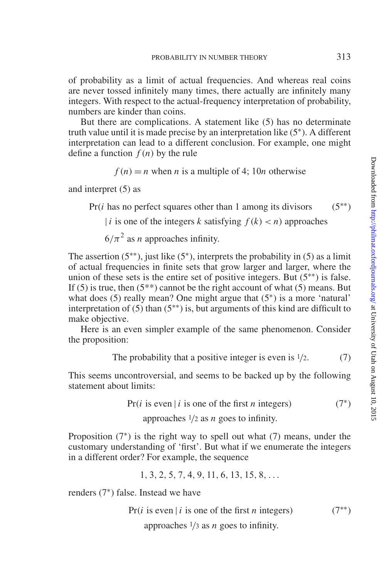of probability as a limit of actual frequencies. And whereas real coins are never tossed infinitely many times, there actually are infinitely many integers. With respect to the actual-frequency interpretation of probability, numbers are kinder than coins.

But there are complications. A statement like (5) has no determinate truth value until it is made precise by an interpretation like (5∗). A different interpretation can lead to a different conclusion. For example, one might define a function *f* (*n*) by the rule

 $f(n) = n$  when *n* is a multiple of 4; 10*n* otherwise

and interpret (5) as

 $Pr(i \text{ has no perfect squares other than 1 among its divisors } (5^{**})$ 

|*i* is one of the integers *k* satisfying  $f(k) < n$  approaches

 $6/\pi^2$  as *n* approaches infinity.

The assertion  $(5^{**})$ , just like  $(5^*)$ , interprets the probability in  $(5)$  as a limit of actual frequencies in finite sets that grow larger and larger, where the union of these sets is the entire set of positive integers. But  $(5^{**})$  is false. If (5) is true, then  $(5^{**})$  cannot be the right account of what (5) means. But what does (5) really mean? One might argue that  $(5^*)$  is a more 'natural' interpretation of (5) than (5∗∗) is, but arguments of this kind are difficult to make objective.

Here is an even simpler example of the same phenomenon. Consider the proposition:

The probability that a positive integer is even is  $\frac{1}{2}$ . (7)

This seems uncontroversial, and seems to be backed up by the following statement about limits:

> $Pr(i \text{ is even} \mid i \text{ is one of the first } n \text{ integers})$  (7<sup>\*</sup>) approaches <sup>1</sup>/<sup>2</sup> as *<sup>n</sup>* goes to infinity.

Proposition  $(7<sup>*</sup>)$  is the right way to spell out what  $(7)$  means, under the customary understanding of 'first'. But what if we enumerate the integers in a different order? For example, the sequence

1, 3, 2, 5, 7, 4, 9, 11, 6, 13, 15, 8,...

renders (7∗) false. Instead we have

$$
Pr(i \text{ is even} \mid i \text{ is one of the first } n \text{ integers})
$$
\n
$$
(7^{**})
$$

approaches <sup>1</sup>/<sup>3</sup> as *<sup>n</sup>* goes to infinity.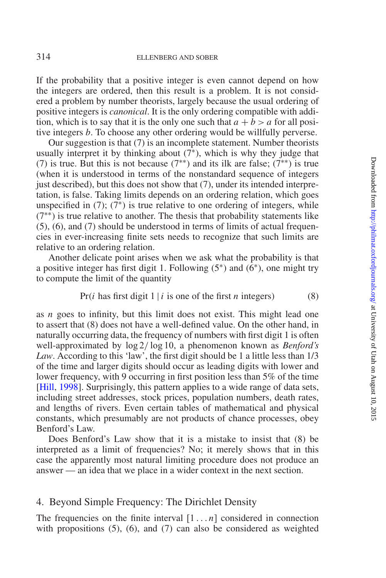If the probability that a positive integer is even cannot depend on how the integers are ordered, then this result is a problem. It is not considered a problem by number theorists, largely because the usual ordering of positive integers is *canonical*. It is the only ordering compatible with addition, which is to say that it is the only one such that  $a + b > a$  for all positive integers *b*. To choose any other ordering would be willfully perverse.

Our suggestion is that (7) is an incomplete statement. Number theorists usually interpret it by thinking about  $(7^*)$ , which is why they judge that (7) is true. But this is not because (7<sup>\*\*</sup>) and its ilk are false; (7<sup>\*\*</sup>) is true (when it is understood in terms of the nonstandard sequence of integers just described), but this does not show that (7), under its intended interpretation, is false. Taking limits depends on an ordering relation, which goes unspecified in  $(7)$ ;  $(7^*)$  is true relative to one ordering of integers, while (7∗∗) is true relative to another. The thesis that probability statements like (5), (6), and (7) should be understood in terms of limits of actual frequencies in ever-increasing finite sets needs to recognize that such limits are relative to an ordering relation.

Another delicate point arises when we ask what the probability is that a positive integer has first digit 1. Following (5∗) and (6∗), one might try to compute the limit of the quantity

### Pr(*i* has first digit  $1 | i$  is one of the first *n* integers) (8)

as *n* goes to infinity, but this limit does not exist. This might lead one to assert that (8) does not have a well-defined value. On the other hand, in naturally occurring data, the frequency of numbers with first digit 1 is often well-approximated by log 2/ log 10, a phenomenon known as *Benford's Law*. According to this 'law', the first digit should be 1 a little less than 1/3 of the time and larger digits should occur as leading digits with lower and lower frequency, with 9 occurring in first position less than 5% of the time [\[Hill](#page-14-10), [1998\]](#page-14-10). Surprisingly, this pattern applies to a wide range of data sets, including street addresses, stock prices, population numbers, death rates, and lengths of rivers. Even certain tables of mathematical and physical constants, which presumably are not products of chance processes, obey Benford's Law.

Does Benford's Law show that it is a mistake to insist that (8) be interpreted as a limit of frequencies? No; it merely shows that in this case the apparently most natural limiting procedure does not produce an answer — an idea that we place in a wider context in the next section.

## 4. Beyond Simple Frequency: The Dirichlet Density

The frequencies on the finite interval  $[1 \dots n]$  considered in connection with propositions (5), (6), and (7) can also be considered as weighted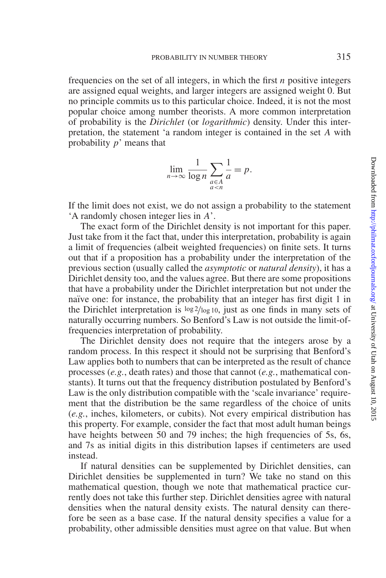frequencies on the set of all integers, in which the first *n* positive integers are assigned equal weights, and larger integers are assigned weight 0. But no principle commits us to this particular choice. Indeed, it is not the most popular choice among number theorists. A more common interpretation of probability is the *Dirichlet* (or *logarithmic*) density. Under this interpretation, the statement 'a random integer is contained in the set *A* with probability *p*' means that

$$
\lim_{n \to \infty} \frac{1}{\log n} \sum_{\substack{a \in A \\ a < n}} \frac{1}{a} = p.
$$

If the limit does not exist, we do not assign a probability to the statement 'A randomly chosen integer lies in *A*'.

The exact form of the Dirichlet density is not important for this paper. Just take from it the fact that, under this interpretation, probability is again a limit of frequencies (albeit weighted frequencies) on finite sets. It turns out that if a proposition has a probability under the interpretation of the previous section (usually called the *asymptotic* or *natural density*), it has a Dirichlet density too, and the values agree. But there are some propositions that have a probability under the Dirichlet interpretation but not under the naïve one: for instance, the probability that an integer has first digit 1 in the Dirichlet interpretation is  $\log 2/\log 10$ , just as one finds in many sets of naturally occurring numbers. So Benford's Law is not outside the limit-offrequencies interpretation of probability.

The Dirichlet density does not require that the integers arose by a random process. In this respect it should not be surprising that Benford's Law applies both to numbers that can be interpreted as the result of chance processes (*e.g.*, death rates) and those that cannot (*e.g.*, mathematical constants). It turns out that the frequency distribution postulated by Benford's Law is the only distribution compatible with the 'scale invariance' requirement that the distribution be the same regardless of the choice of units (*e.g.*, inches, kilometers, or cubits). Not every empirical distribution has this property. For example, consider the fact that most adult human beings have heights between 50 and 79 inches; the high frequencies of 5s, 6s, and 7s as initial digits in this distribution lapses if centimeters are used instead.

If natural densities can be supplemented by Dirichlet densities, can Dirichlet densities be supplemented in turn? We take no stand on this mathematical question, though we note that mathematical practice currently does not take this further step. Dirichlet densities agree with natural densities when the natural density exists. The natural density can therefore be seen as a base case. If the natural density specifies a value for a probability, other admissible densities must agree on that value. But when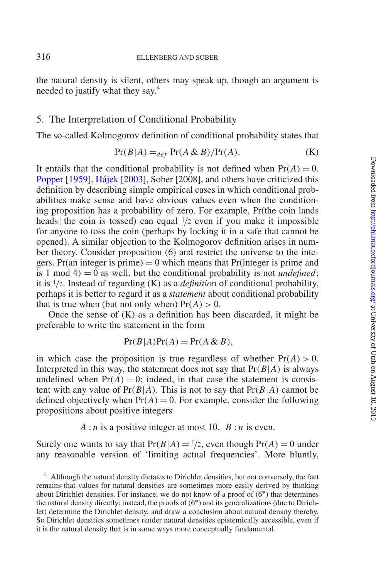the natural density is silent, others may speak up, though an argument is needed to justify what they say.[4](#page-8-0)

## 5. The Interpretation of Conditional Probability

The so-called Kolmogorov definition of conditional probability states that

$$
Pr(B|A) =_{def} Pr(A \& B)/Pr(A).
$$
 (K)

It entails that the conditional probability is not defined when  $Pr(A) = 0$ .<br>[Popper](#page-14-11) [\[1959\]](#page-14-11), Hájek [\[2003\]](#page-14-12), Sober [2008], and others have criticized this definition by describing simple empirical cases in which conditional probabilities make sense and have obvious values even when the conditioning proposition has a probability of zero. For example, Pr(the coin lands heads | the coin is tossed) can equal  $1/2$  even if you make it impossible for anyone to toss the coin (perhaps by locking it in a safe that cannot be opened). A similar objection to the Kolmogorov definition arises in number theory. Consider proposition (6) and restrict the universe to the integers. Pr(an integer is prime)  $= 0$  which means that Pr(integer is prime and is 1 mod 4)  $= 0$  as well, but the conditional probability is not *undefined*; it is <sup>1</sup>/2. Instead of regarding (K) as a *definitio*n of conditional probability, perhaps it is better to regard it as a *statement* about conditional probability that is true when (but not only when)  $Pr(A) > 0$ .

Once the sense of (K) as a definition has been discarded, it might be preferable to write the statement in the form

$$
Pr(B|A)Pr(A) = Pr(A \& B),
$$

in which case the proposition is true regardless of whether  $Pr(A) > 0$ . Interpreted in this way, the statement does not say that  $Pr(B|A)$  is always undefined when  $Pr(A) = 0$ ; indeed, in that case the statement is consistent with any value of  $Pr(B|A)$ . This is not to say that  $Pr(B|A)$  cannot be defined objectively when  $Pr(A) = 0$ . For example, consider the following propositions about positive integers

*<sup>A</sup>* : *<sup>n</sup>* is a positive integer at most 10. *<sup>B</sup>* : *<sup>n</sup>* is even.

Surely one wants to say that  $Pr(B|A) = 1/2$ , even though  $Pr(A) = 0$  under any reasonable version of 'limiting actual frequencies'. More bluntly,

<span id="page-8-0"></span><sup>&</sup>lt;sup>4</sup> Although the natural density dictates to Dirichlet densities, but not conversely, the fact remains that values for natural densities are sometimes more easily derived by thinking about Dirichlet densities. For instance, we do not know of a proof of  $(6<sup>*</sup>)$  that determines the natural density directly; instead, the proofs of  $(6<sup>*</sup>)$  and its generalizations (due to Dirichlet) determine the Dirichlet density, and draw a conclusion about natural density thereby. So Dirichlet densities sometimes render natural densities epistemically accessible, even if it is the natural density that is in some ways more conceptually fundamental.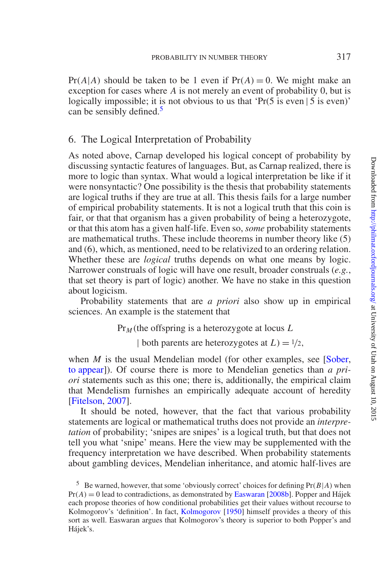$Pr(A|A)$  should be taken to be 1 even if  $Pr(A) = 0$ . We might make an exception for cases where *A* is not merely an event of probability 0, but is logically impossible; it is not obvious to us that 'Pr(5 is even | 5 is even)' can be sensibly defined.<sup>[5](#page-9-0)</sup>

### 6. The Logical Interpretation of Probability

As noted above, Carnap developed his logical concept of probability by discussing syntactic features of languages. But, as Carnap realized, there is more to logic than syntax. What would a logical interpretation be like if it were nonsyntactic? One possibility is the thesis that probability statements are logical truths if they are true at all. This thesis fails for a large number of empirical probability statements. It is not a logical truth that this coin is fair, or that that organism has a given probability of being a heterozygote, or that this atom has a given half-life. Even so, *some* probability statements are mathematical truths. These include theorems in number theory like (5) and (6), which, as mentioned, need to be relativized to an ordering relation. Whether these are *logical* truths depends on what one means by logic. Narrower construals of logic will have one result, broader construals (*e.g.*, that set theory is part of logic) another. We have no stake in this question about logicism.

Probability statements that are *a priori* also show up in empirical sciences. An example is the statement that

Pr*<sup>M</sup>* (the offspring is a heterozygote at locus *L*

| both parents are heterozygotes at  $L$ ) =  $\frac{1}{2}$ ,

when *M* is the usual Mendelian model (for other examples, see [\[Sober,](#page-14-13) [to appear\]](#page-14-13)). Of course there is more to Mendelian genetics than *a priori* statements such as this one; there is, additionally, the empirical claim that Mendelism furnishes an empirically adequate account of heredity [\[Fitelson](#page-14-14), [2007\]](#page-14-14).

It should be noted, however, that the fact that various probability statements are logical or mathematical truths does not provide an *interpretation* of probability; 'snipes are snipes' is a logical truth, but that does not tell you what 'snipe' means. Here the view may be supplemented with the frequency interpretation we have described. When probability statements about gambling devices, Mendelian inheritance, and atomic half-lives are

<span id="page-9-0"></span><sup>&</sup>lt;sup>5</sup> Be warned, however, that some 'obviously correct' choices for defining  $Pr(B|A)$  when  $Pr(A) = 0$  lead to contradictions, as demonstrated by [Easwaran](#page-14-15) [\[2008b](#page-14-15)]. Popper and Hájek each propose theories of how conditional probabilities get their values without recourse to Kolmogorov's 'definition'. In fact, [Kolmogorov](#page-14-6) [\[1950](#page-14-6)] himself provides a theory of this sort as well. Easwaran argues that Kolmogorov's theory is superior to both Popper's and Hájek's.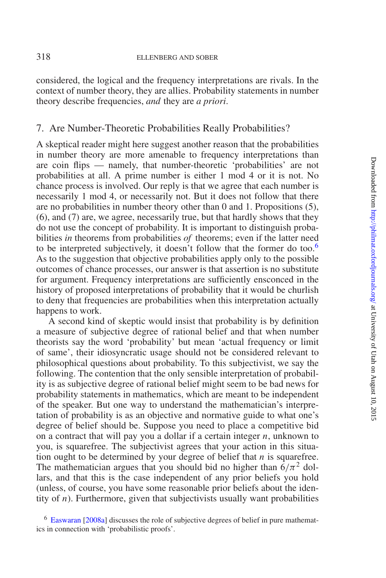considered, the logical and the frequency interpretations are rivals. In the context of number theory, they are allies. Probability statements in number theory describe frequencies, *and* they are *a priori*.

### 7. Are Number-Theoretic Probabilities Really Probabilities?

A skeptical reader might here suggest another reason that the probabilities in number theory are more amenable to frequency interpretations than are coin flips — namely, that number-theoretic 'probabilities' are not probabilities at all. A prime number is either 1 mod 4 or it is not. No chance process is involved. Our reply is that we agree that each number is necessarily 1 mod 4, or necessarily not. But it does not follow that there are no probabilities in number theory other than 0 and 1. Propositions (5), (6), and (7) are, we agree, necessarily true, but that hardly shows that they do not use the concept of probability. It is important to distinguish probabilities *in* theorems from probabilities *of* theorems; even if the latter need to be interpreted subjectively, it doesn't follow that the former do too.<sup>6</sup> As to the suggestion that objective probabilities apply only to the possible outcomes of chance processes, our answer is that assertion is no substitute for argument. Frequency interpretations are sufficiently ensconced in the history of proposed interpretations of probability that it would be churlish to deny that frequencies are probabilities when this interpretation actually happens to work.

A second kind of skeptic would insist that probability is by definition a measure of subjective degree of rational belief and that when number theorists say the word 'probability' but mean 'actual frequency or limit of same', their idiosyncratic usage should not be considered relevant to philosophical questions about probability. To this subjectivist, we say the following. The contention that the only sensible interpretation of probability is as subjective degree of rational belief might seem to be bad news for probability statements in mathematics, which are meant to be independent of the speaker. But one way to understand the mathematician's interpretation of probability is as an objective and normative guide to what one's degree of belief should be. Suppose you need to place a competitive bid on a contract that will pay you a dollar if a certain integer *n*, unknown to you, is squarefree. The subjectivist agrees that your action in this situation ought to be determined by your degree of belief that *n* is squarefree. The mathematician argues that you should bid no higher than  $6/\pi^2$  dollars, and that this is the case independent of any prior beliefs you hold (unless, of course, you have some reasonable prior beliefs about the identity of *n*). Furthermore, given that subjectivists usually want probabilities

<span id="page-10-0"></span><sup>&</sup>lt;sup>6</sup> [Easwaran](#page-14-16) [\[2008a](#page-14-16)] discusses the role of subjective degrees of belief in pure mathematics in connection with 'probabilistic proofs'.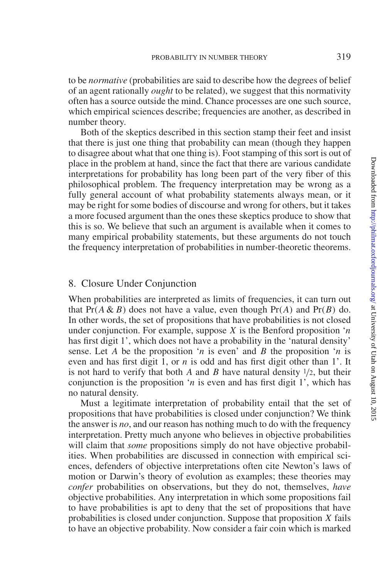to be *normative* (probabilities are said to describe how the degrees of belief of an agent rationally *ought* to be related), we suggest that this normativity often has a source outside the mind. Chance processes are one such source, which empirical sciences describe; frequencies are another, as described in number theory.

Both of the skeptics described in this section stamp their feet and insist that there is just one thing that probability can mean (though they happen to disagree about what that one thing is). Foot stamping of this sort is out of place in the problem at hand, since the fact that there are various candidate interpretations for probability has long been part of the very fiber of this philosophical problem. The frequency interpretation may be wrong as a fully general account of what probability statements always mean, or it may be right for some bodies of discourse and wrong for others, but it takes a more focused argument than the ones these skeptics produce to show that this is so. We believe that such an argument is available when it comes to many empirical probability statements, but these arguments do not touch the frequency interpretation of probabilities in number-theoretic theorems.

### 8. Closure Under Conjunction

When probabilities are interpreted as limits of frequencies, it can turn out that  $Pr(A \& B)$  does not have a value, even though  $Pr(A)$  and  $Pr(B)$  do. In other words, the set of propositions that have probabilities is not closed under conjunction. For example, suppose *X* is the Benford proposition '*n* has first digit 1', which does not have a probability in the 'natural density' sense. Let *A* be the proposition '*n* is even' and *B* the proposition '*n* is even and has first digit 1, or *n* is odd and has first digit other than 1'. It is not hard to verify that both *A* and *B* have natural density  $\frac{1}{2}$ , but their conjunction is the proposition '*n* is even and has first digit 1', which has no natural density.

Must a legitimate interpretation of probability entail that the set of propositions that have probabilities is closed under conjunction? We think the answer is *no*, and our reason has nothing much to do with the frequency interpretation. Pretty much anyone who believes in objective probabilities will claim that *some* propositions simply do not have objective probabilities. When probabilities are discussed in connection with empirical sciences, defenders of objective interpretations often cite Newton's laws of motion or Darwin's theory of evolution as examples; these theories may *confer* probabilities on observations, but they do not, themselves, *have* objective probabilities. Any interpretation in which some propositions fail to have probabilities is apt to deny that the set of propositions that have probabilities is closed under conjunction. Suppose that proposition *X* fails to have an objective probability. Now consider a fair coin which is marked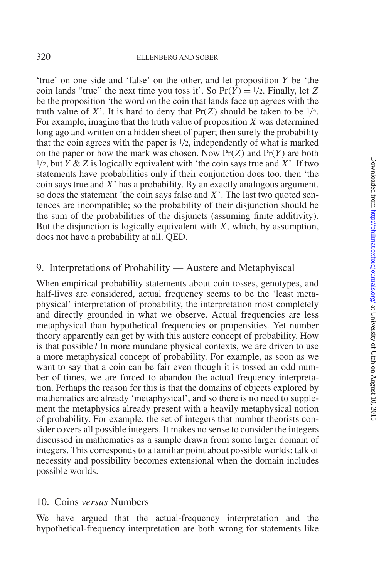'true' on one side and 'false' on the other, and let proposition *Y* be 'the coin lands "true" the next time you toss it'. So  $Pr(Y) = \frac{1}{2}$ . Finally, let Z be the proposition 'the word on the coin that lands face up agrees with the truth value of *X*<sup> $\cdot$ </sup>. It is hard to deny that  $Pr(Z)$  should be taken to be  $1/2$ . For example, imagine that the truth value of proposition *X* was determined long ago and written on a hidden sheet of paper; then surely the probability that the coin agrees with the paper is  $\frac{1}{2}$ , independently of what is marked on the paper or how the mark was chosen. Now Pr(*Z*) and Pr(*Y* ) are both <sup>1</sup>/2, but *<sup>Y</sup>* & *<sup>Z</sup>* is logically equivalent with 'the coin says true and *<sup>X</sup>*'. If two statements have probabilities only if their conjunction does too, then 'the coin says true and *X*' has a probability. By an exactly analogous argument, so does the statement 'the coin says false and *X*'. The last two quoted sentences are incompatible; so the probability of their disjunction should be the sum of the probabilities of the disjuncts (assuming finite additivity). But the disjunction is logically equivalent with *X*, which, by assumption, does not have a probability at all. QED.

## 9. Interpretations of Probability — Austere and Metaphyiscal

When empirical probability statements about coin tosses, genotypes, and half-lives are considered, actual frequency seems to be the 'least metaphysical' interpretation of probability, the interpretation most completely and directly grounded in what we observe. Actual frequencies are less metaphysical than hypothetical frequencies or propensities. Yet number theory apparently can get by with this austere concept of probability. How is that possible? In more mundane physical contexts, we are driven to use a more metaphysical concept of probability. For example, as soon as we want to say that a coin can be fair even though it is tossed an odd number of times, we are forced to abandon the actual frequency interpretation. Perhaps the reason for this is that the domains of objects explored by mathematics are already 'metaphysical', and so there is no need to supplement the metaphysics already present with a heavily metaphysical notion of probability. For example, the set of integers that number theorists consider covers all possible integers. It makes no sense to consider the integers discussed in mathematics as a sample drawn from some larger domain of integers. This corresponds to a familiar point about possible worlds: talk of necessity and possibility becomes extensional when the domain includes possible worlds.

#### 10. Coins *versus* Numbers

We have argued that the actual-frequency interpretation and the hypothetical-frequency interpretation are both wrong for statements like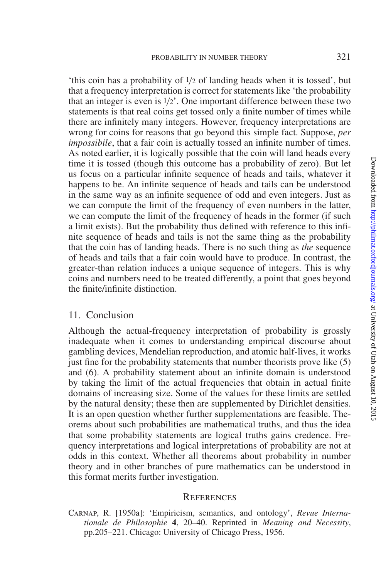'this coin has a probability of <sup>1</sup>/<sup>2</sup> of landing heads when it is tossed', but that a frequency interpretation is correct for statements like 'the probability that an integer is even is  $1/2$ . One important difference between these two statements is that real coins get tossed only a finite number of times while there are infinitely many integers. However, frequency interpretations are wrong for coins for reasons that go beyond this simple fact. Suppose, *per impossibile*, that a fair coin is actually tossed an infinite number of times. As noted earlier, it is logically possible that the coin will land heads every time it is tossed (though this outcome has a probability of zero). But let us focus on a particular infinite sequence of heads and tails, whatever it happens to be. An infinite sequence of heads and tails can be understood in the same way as an infinite sequence of odd and even integers. Just as we can compute the limit of the frequency of even numbers in the latter, we can compute the limit of the frequency of heads in the former (if such a limit exists). But the probability thus defined with reference to this infinite sequence of heads and tails is not the same thing as the probability that the coin has of landing heads. There is no such thing as *the* sequence of heads and tails that a fair coin would have to produce. In contrast, the greater-than relation induces a unique sequence of integers. This is why coins and numbers need to be treated differently, a point that goes beyond the finite/infinite distinction.

### 11. Conclusion

Although the actual-frequency interpretation of probability is grossly inadequate when it comes to understanding empirical discourse about gambling devices, Mendelian reproduction, and atomic half-lives, it works just fine for the probability statements that number theorists prove like (5) and (6). A probability statement about an infinite domain is understood by taking the limit of the actual frequencies that obtain in actual finite domains of increasing size. Some of the values for these limits are settled by the natural density; these then are supplemented by Dirichlet densities. It is an open question whether further supplementations are feasible. Theorems about such probabilities are mathematical truths, and thus the idea that some probability statements are logical truths gains credence. Frequency interpretations and logical interpretations of probability are not at odds in this context. Whether all theorems about probability in number theory and in other branches of pure mathematics can be understood in this format merits further investigation.

#### **REFERENCES**

<span id="page-13-0"></span>Carnap, R. [1950a]: 'Empiricism, semantics, and ontology', *Revue Internationale de Philosophie* **4**, 20–40. Reprinted in *Meaning and Necessity*, pp.205–221. Chicago: University of Chicago Press, 1956.